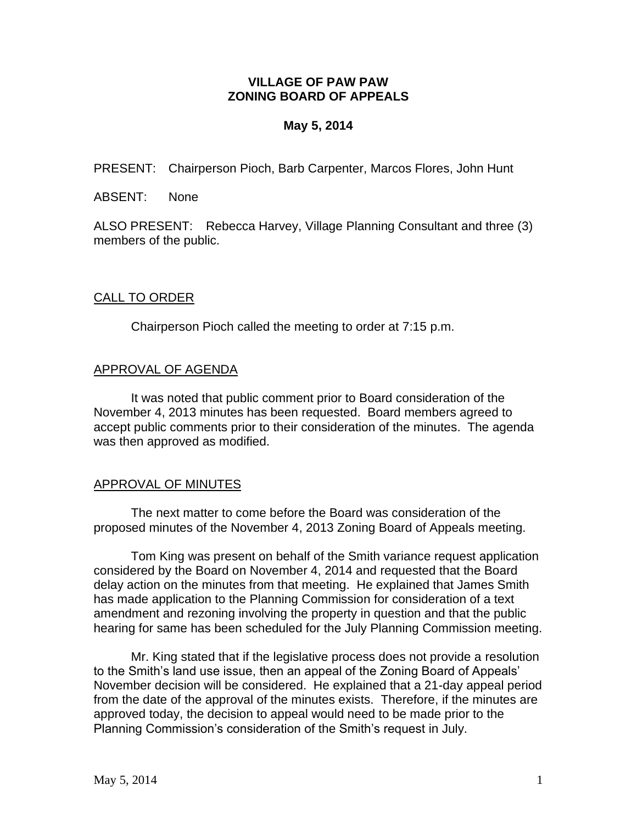## **VILLAGE OF PAW PAW ZONING BOARD OF APPEALS**

## **May 5, 2014**

PRESENT: Chairperson Pioch, Barb Carpenter, Marcos Flores, John Hunt

ABSENT: None

ALSO PRESENT: Rebecca Harvey, Village Planning Consultant and three (3) members of the public.

## CALL TO ORDER

Chairperson Pioch called the meeting to order at 7:15 p.m.

### APPROVAL OF AGENDA

It was noted that public comment prior to Board consideration of the November 4, 2013 minutes has been requested. Board members agreed to accept public comments prior to their consideration of the minutes. The agenda was then approved as modified.

## APPROVAL OF MINUTES

The next matter to come before the Board was consideration of the proposed minutes of the November 4, 2013 Zoning Board of Appeals meeting.

Tom King was present on behalf of the Smith variance request application considered by the Board on November 4, 2014 and requested that the Board delay action on the minutes from that meeting. He explained that James Smith has made application to the Planning Commission for consideration of a text amendment and rezoning involving the property in question and that the public hearing for same has been scheduled for the July Planning Commission meeting.

Mr. King stated that if the legislative process does not provide a resolution to the Smith's land use issue, then an appeal of the Zoning Board of Appeals' November decision will be considered. He explained that a 21-day appeal period from the date of the approval of the minutes exists. Therefore, if the minutes are approved today, the decision to appeal would need to be made prior to the Planning Commission's consideration of the Smith's request in July.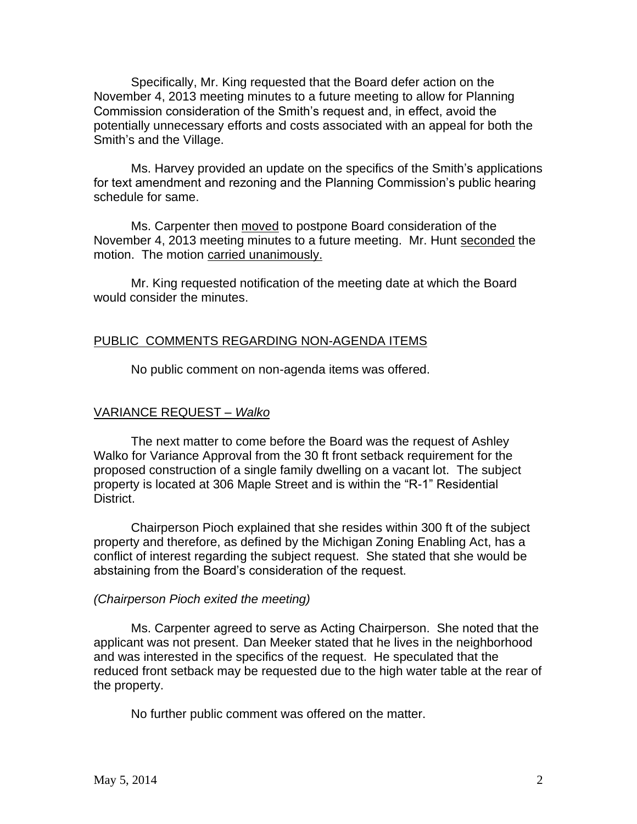Specifically, Mr. King requested that the Board defer action on the November 4, 2013 meeting minutes to a future meeting to allow for Planning Commission consideration of the Smith's request and, in effect, avoid the potentially unnecessary efforts and costs associated with an appeal for both the Smith's and the Village.

Ms. Harvey provided an update on the specifics of the Smith's applications for text amendment and rezoning and the Planning Commission's public hearing schedule for same.

Ms. Carpenter then moved to postpone Board consideration of the November 4, 2013 meeting minutes to a future meeting. Mr. Hunt seconded the motion. The motion carried unanimously.

Mr. King requested notification of the meeting date at which the Board would consider the minutes.

#### PUBLIC COMMENTS REGARDING NON-AGENDA ITEMS

No public comment on non-agenda items was offered.

## VARIANCE REQUEST *– Walko*

The next matter to come before the Board was the request of Ashley Walko for Variance Approval from the 30 ft front setback requirement for the proposed construction of a single family dwelling on a vacant lot. The subject property is located at 306 Maple Street and is within the "R-1" Residential District.

Chairperson Pioch explained that she resides within 300 ft of the subject property and therefore, as defined by the Michigan Zoning Enabling Act, has a conflict of interest regarding the subject request. She stated that she would be abstaining from the Board's consideration of the request.

#### *(Chairperson Pioch exited the meeting)*

Ms. Carpenter agreed to serve as Acting Chairperson. She noted that the applicant was not present. Dan Meeker stated that he lives in the neighborhood and was interested in the specifics of the request. He speculated that the reduced front setback may be requested due to the high water table at the rear of the property.

No further public comment was offered on the matter.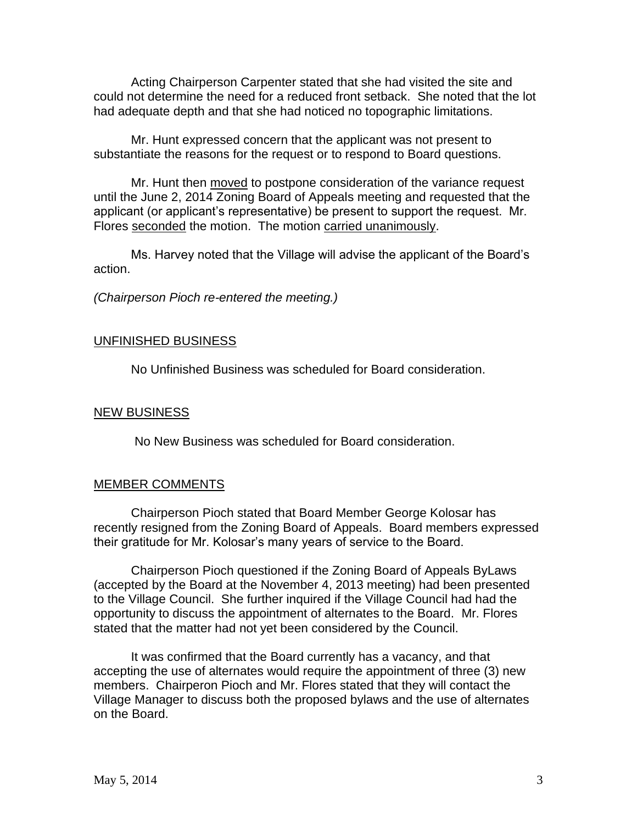Acting Chairperson Carpenter stated that she had visited the site and could not determine the need for a reduced front setback. She noted that the lot had adequate depth and that she had noticed no topographic limitations.

Mr. Hunt expressed concern that the applicant was not present to substantiate the reasons for the request or to respond to Board questions.

Mr. Hunt then moved to postpone consideration of the variance request until the June 2, 2014 Zoning Board of Appeals meeting and requested that the applicant (or applicant's representative) be present to support the request. Mr. Flores seconded the motion. The motion carried unanimously.

Ms. Harvey noted that the Village will advise the applicant of the Board's action.

*(Chairperson Pioch re-entered the meeting.)*

#### UNFINISHED BUSINESS

No Unfinished Business was scheduled for Board consideration.

#### NEW BUSINESS

No New Business was scheduled for Board consideration.

#### MEMBER COMMENTS

Chairperson Pioch stated that Board Member George Kolosar has recently resigned from the Zoning Board of Appeals. Board members expressed their gratitude for Mr. Kolosar's many years of service to the Board.

Chairperson Pioch questioned if the Zoning Board of Appeals ByLaws (accepted by the Board at the November 4, 2013 meeting) had been presented to the Village Council. She further inquired if the Village Council had had the opportunity to discuss the appointment of alternates to the Board. Mr. Flores stated that the matter had not yet been considered by the Council.

It was confirmed that the Board currently has a vacancy, and that accepting the use of alternates would require the appointment of three (3) new members. Chairperon Pioch and Mr. Flores stated that they will contact the Village Manager to discuss both the proposed bylaws and the use of alternates on the Board.